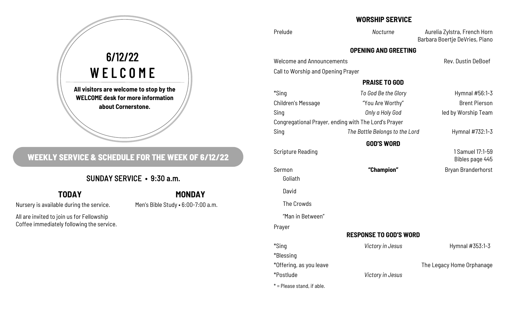# **All visitors are welcome to stop by the WELCOME desk for more information about Cornerstone.**  6/12/22 WELCOME

# **WEEKLY SERVICE & SCHEDULE FOR THE WEEK OF 6/12/22**

# SUNDAY SERVICE • 9:30 a.m.

# **TODAY**

Nursery is available during the service.

Men's Bible Study • 6:00-7:00 a.m.

**MONDAY**

All are invited to join us for Fellowship Coffee immediately following the service.

## **WORSHIP SERVICE**

Prelude *Nocturne* Aurelia Zylstra, French Horn Barbara Boertje DeVries, Piano

### **OPENING AND GREETING**

Welcome and Announcements **Rev. Dustin DeBoef** Rev. Dustin DeBoef

Call to Worship and Opening Prayer

### **PRAISE TO GOD**

| *Sing              | To God Be the Glory                                  | Hymnal #56:1-3                      |
|--------------------|------------------------------------------------------|-------------------------------------|
| Children's Message | "You Are Worthy"                                     | <b>Brent Pierson</b>                |
| Sing               | Only a Holy God                                      | led by Worship Team                 |
|                    | Congregational Prayer, ending with The Lord's Prayer |                                     |
| Sing               | The Battle Belongs to the Lord                       | Hymnal #732:1-3                     |
|                    | <b>GOD'S WORD</b>                                    |                                     |
| Scripture Reading  |                                                      | 1 Samuel 17:1-59<br>Bibles page 445 |
| Sermon<br>Goliath  | "Champion"                                           | Bryan Branderhorst                  |
| David              |                                                      |                                     |
| The Crowds         |                                                      |                                     |
| "Man in Between"   |                                                      |                                     |
| Prayer             |                                                      |                                     |
|                    | <b>RESPONSE TO GOD'S WORD</b>                        |                                     |
| *Sing              | Victory in Jesus                                     | Hymnal #353:1-3                     |
| *Blessing          |                                                      |                                     |

\*Offering, as you leave The Legacy Home Orphanage

\*Postlude *Victory in Jesus*

 $*$  = Please stand, if able.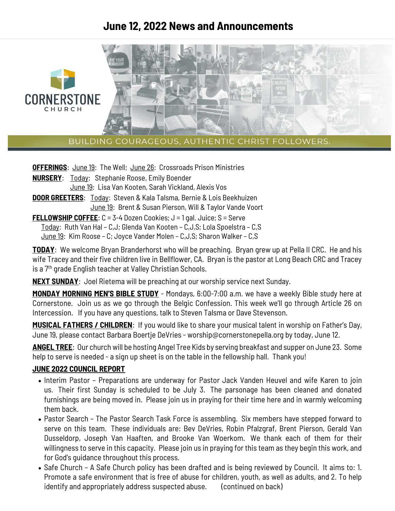# **June 12, 2022 News and Announcements**



BUILDING COURAGEOUS, AUTHENTIC CHRIST FOLLOWERS.

**OFFERINGS:** June 19: The Well; June 26: Crossroads Prison Ministries

**NURSERY**: Today: Stephanie Roose, Emily Boender June 19: Lisa Van Kooten, Sarah Vickland, Alexis Vos

**DOOR GREETERS**: Today: Steven & Kala Talsma, Bernie & Lois Beekhuizen June 19: Brent & Susan Pierson, Will & Taylor Vande Voort

**FELLOWSHIP COFFEE:** C = 3-4 Dozen Cookies; J = 1 gal. Juice; S = Serve

Today: Ruth Van Hal – C,J; Glenda Van Kooten – C,J,S; Lola Spoelstra – C,S

June 19: Kim Roose – C; Joyce Vander Molen – C,J,S; Sharon Walker – C,S

**TODAY**: We welcome Bryan Branderhorst who will be preaching. Bryan grew up at Pella II CRC. He and his wife Tracey and their five children live in Bellflower, CA. Bryan is the pastor at Long Beach CRC and Tracey is a 7<sup>th</sup> grade English teacher at Valley Christian Schools.

**NEXT SUNDAY**: Joel Rietema will be preaching at our worship service next Sunday.

**MONDAY MORNING MEN'S BIBLE STUDY** - Mondays, 6:00-7:00 a.m. we have a weekly Bible study here at Cornerstone. Join us as we go through the Belgic Confession. This week we'll go through Article 26 on Intercession. If you have any questions, talk to Steven Talsma or Dave Stevenson.

**MUSICAL FATHERS / CHILDREN**: If you would like to share your musical talent in worship on Father's Day, June 19, please contact Barbara Boertje DeVries - worship@cornerstonepella.org by today, June 12.

**ANGEL TREE**: Our church will be hosting Angel Tree Kids by serving breakfast and supper on June 23. Some help to serve is needed - a sign up sheet is on the table in the fellowship hall. Thank you!

#### **JUNE 2022 COUNCIL REPORT**

- Interim Pastor Preparations are underway for Pastor Jack Vanden Heuvel and wife Karen to join us. Their first Sunday is scheduled to be July 3. The parsonage has been cleaned and donated furnishings are being moved in. Please join us in praying for their time here and in warmly welcoming them back.
- Pastor Search The Pastor Search Task Force is assembling. Six members have stepped forward to serve on this team. These individuals are: Bev DeVries, Robin Pfalzgraf, Brent Pierson, Gerald Van Dusseldorp, Joseph Van Haaften, and Brooke Van Woerkom. We thank each of them for their willingness to serve in this capacity. Please join us in praying for this team as they begin this work, and for God's guidance throughout this process.
- Safe Church A Safe Church policy has been drafted and is being reviewed by Council. It aims to: 1. Promote a safe environment that is free of abuse for children, youth, as well as adults, and 2. To help identify and appropriately address suspected abuse. (continued on back)